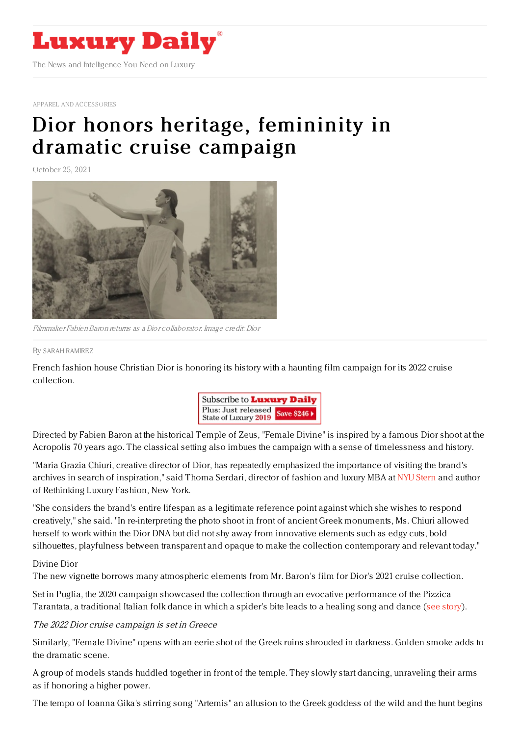

APPAREL AND [ACCESSORIES](https://www.luxurydaily.com/category/sectors/apparel-and-accessories/)

## Dior honors heritage, [femininity](https://www.luxurydaily.com/dior-2022-cruise-campaign/) in dramatic cruise campaign

October 25, 2021



Filmmaker FabienBaron returns as <sup>a</sup> Dior collaborator. Image credit: Dior

## By SARAH [RAMIREZ](file:///author/sarah-ramirez)

French fashion house Christian Dior is honoring its history with a haunting film campaign for its 2022 cruise collection.



Directed by Fabien Baron at the historical Temple of Zeus, "Female Divine" is inspired by a famous Dior shoot at the Acropolis 70 years ago. The classical setting also imbues the campaign with a sense of timelessness and history.

"Maria Grazia Chiuri, creative director of Dior, has repeatedly emphasized the importance of visiting the brand's archives in search of inspiration," said Thoma Serdari, director of fashion and luxury MBA at NYU [Stern](https://www.stern.nyu.edu/) and author of Rethinking Luxury Fashion, New York.

"She considers the brand's entire lifespan as a legitimate reference point against which she wishes to respond creatively," she said. "In re-interpreting the photo shoot in front of ancient Greek monuments, Ms. Chiuri allowed herself to work within the Dior DNA but did not shy away from innovative elements such as edgy cuts, bold silhouettes, playfulness between transparent and opaque to make the collection contemporary and relevant today."

## Divine Dior

The new vignette borrows many atmospheric elements from Mr. Baron's film for Dior's 2021 cruise collection.

Set in Puglia, the 2020 campaign showcased the collection through an evocative performance of the Pizzica Tarantata, a traditional Italian folk dance in which a spider's bite leads to a healing song and dance (see [story](https://www.luxurydaily.com/dior-debuts-its-cruise-2021-collection-in-hauntingly-artistic-campaign/)).

The 2022 Dior cruise campaign is set in Greece

Similarly, "Female Divine" opens with an eerie shot of the Greek ruins shrouded in darkness. Golden smoke adds to the dramatic scene.

A group of models stands huddled together in front of the temple. They slowly start dancing, unraveling their arms as if honoring a higher power.

The tempo of Ioanna Gika's stirring song "Artemis" an allusion to the Greek goddess of the wild and the hunt begins